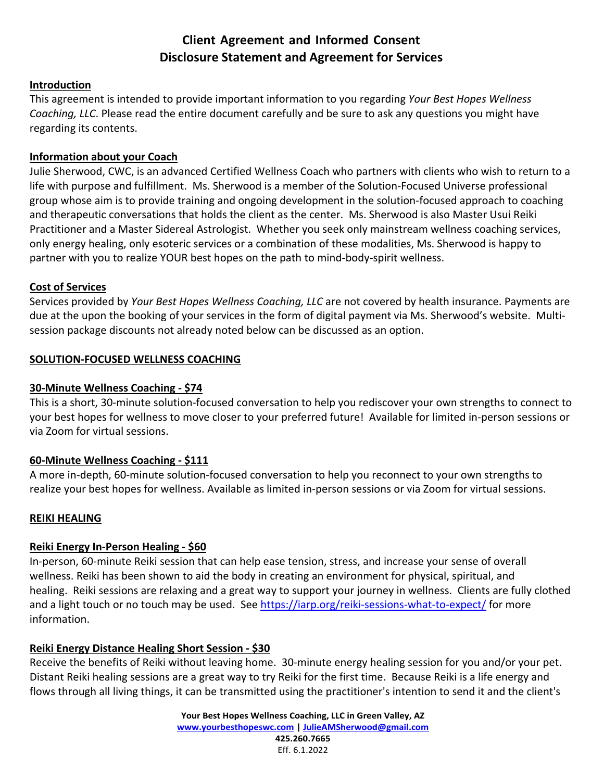# **Client Agreement and Informed Consent Disclosure Statement and Agreement for Services**

### **Introduction**

This agreement is intended to provide important information to you regarding *Your Best Hopes Wellness Coaching, LLC*. Please read the entire document carefully and be sure to ask any questions you might have regarding its contents.

### **Information about your Coach**

Julie Sherwood, CWC, is an advanced Certified Wellness Coach who partners with clients who wish to return to a life with purpose and fulfillment. Ms. Sherwood is a member of the Solution‐Focused Universe professional group whose aim is to provide training and ongoing development in the solution‐focused approach to coaching and therapeutic conversations that holds the client as the center. Ms. Sherwood is also Master Usui Reiki Practitioner and a Master Sidereal Astrologist. Whether you seek only mainstream wellness coaching services, only energy healing, only esoteric services or a combination of these modalities, Ms. Sherwood is happy to partner with you to realize YOUR best hopes on the path to mind‐body‐spirit wellness.

### **Cost of Services**

Services provided by *Your Best Hopes Wellness Coaching, LLC* are not covered by health insurance. Payments are due at the upon the booking of your services in the form of digital payment via Ms. Sherwood's website. Multi‐ session package discounts not already noted below can be discussed as an option.

### **SOLUTION‐FOCUSED WELLNESS COACHING**

### **30‐Minute Wellness Coaching ‐ \$74**

This is a short, 30‐minute solution‐focused conversation to help you rediscover your own strengths to connect to your best hopes for wellness to move closer to your preferred future! Available for limited in‐person sessions or via Zoom for virtual sessions.

#### **60‐Minute Wellness Coaching ‐ \$111**

A more in‐depth, 60‐minute solution‐focused conversation to help you reconnect to your own strengths to realize your best hopes for wellness. Available as limited in‐person sessions or via Zoom for virtual sessions.

#### **REIKI HEALING**

#### **Reiki Energy In‐Person Healing ‐ \$60**

In‐person, 60‐minute Reiki session that can help ease tension, stress, and increase your sense of overall wellness. Reiki has been shown to aid the body in creating an environment for physical, spiritual, and healing. Reiki sessions are relaxing and a great way to support your journey in wellness. Clients are fully clothed and a light touch or no touch may be used. See https://iarp.org/reiki-sessions-what-to-expect/ for more information.

### **Reiki Energy Distance Healing Short Session ‐ \$30**

Receive the benefits of Reiki without leaving home. 30‐minute energy healing session for you and/or your pet. Distant Reiki healing sessions are a great way to try Reiki for the first time. Because Reiki is a life energy and flows through all living things, it can be transmitted using the practitioner's intention to send it and the client's

> **Your Best Hopes Wellness Coaching, LLC in Green Valley, AZ www.yourbesthopeswc.com | JulieAMSherwood@gmail.com 425.260.7665** Eff. 6.1.2022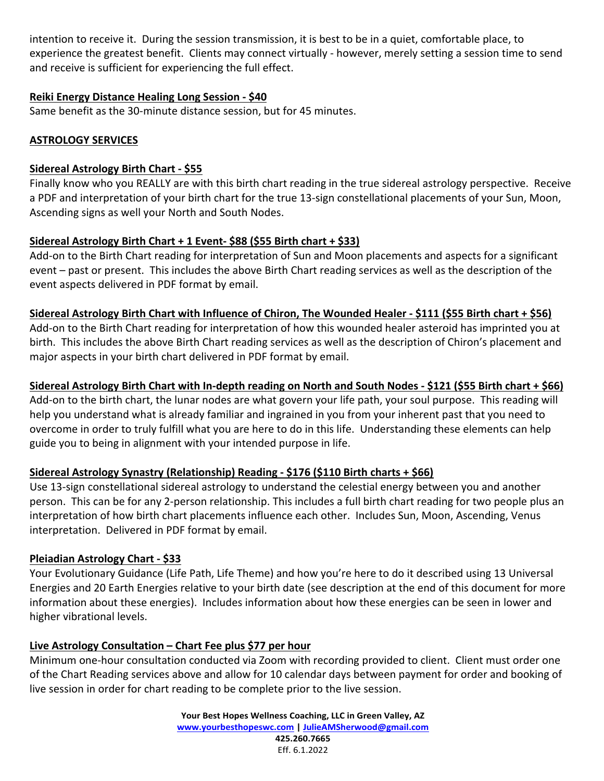intention to receive it. During the session transmission, it is best to be in a quiet, comfortable place, to experience the greatest benefit. Clients may connect virtually ‐ however, merely setting a session time to send and receive is sufficient for experiencing the full effect.

### **Reiki Energy Distance Healing Long Session ‐ \$40**

Same benefit as the 30‐minute distance session, but for 45 minutes.

## **ASTROLOGY SERVICES**

### **Sidereal Astrology Birth Chart ‐ \$55**

Finally know who you REALLY are with this birth chart reading in the true sidereal astrology perspective. Receive a PDF and interpretation of your birth chart for the true 13‐sign constellational placements of your Sun, Moon, Ascending signs as well your North and South Nodes.

# **Sidereal Astrology Birth Chart + 1 Event‐ \$88 (\$55 Birth chart + \$33)**

Add-on to the Birth Chart reading for interpretation of Sun and Moon placements and aspects for a significant event – past or present. This includes the above Birth Chart reading services as well as the description of the event aspects delivered in PDF format by email.

### Sidereal Astrology Birth Chart with Influence of Chiron, The Wounded Healer - \$111 (\$55 Birth chart + \$56)

Add-on to the Birth Chart reading for interpretation of how this wounded healer asteroid has imprinted you at birth. This includes the above Birth Chart reading services as well as the description of Chiron's placement and major aspects in your birth chart delivered in PDF format by email.

## Sidereal Astrology Birth Chart with In-depth reading on North and South Nodes - \$121 (\$55 Birth chart + \$66)

Add-on to the birth chart, the lunar nodes are what govern your life path, your soul purpose. This reading will help you understand what is already familiar and ingrained in you from your inherent past that you need to overcome in order to truly fulfill what you are here to do in this life. Understanding these elements can help guide you to being in alignment with your intended purpose in life.

# **Sidereal Astrology Synastry (Relationship) Reading ‐ \$176 (\$110 Birth charts + \$66)**

Use 13‐sign constellational sidereal astrology to understand the celestial energy between you and another person. This can be for any 2‐person relationship. This includes a full birth chart reading for two people plus an interpretation of how birth chart placements influence each other. Includes Sun, Moon, Ascending, Venus interpretation. Delivered in PDF format by email.

# **Pleiadian Astrology Chart ‐ \$33**

Your Evolutionary Guidance (Life Path, Life Theme) and how you're here to do it described using 13 Universal Energies and 20 Earth Energies relative to your birth date (see description at the end of this document for more information about these energies). Includes information about how these energies can be seen in lower and higher vibrational levels.

# **Live Astrology Consultation – Chart Fee plus \$77 per hour**

Minimum one‐hour consultation conducted via Zoom with recording provided to client. Client must order one of the Chart Reading services above and allow for 10 calendar days between payment for order and booking of live session in order for chart reading to be complete prior to the live session.

> **Your Best Hopes Wellness Coaching, LLC in Green Valley, AZ www.yourbesthopeswc.com | JulieAMSherwood@gmail.com 425.260.7665** Eff. 6.1.2022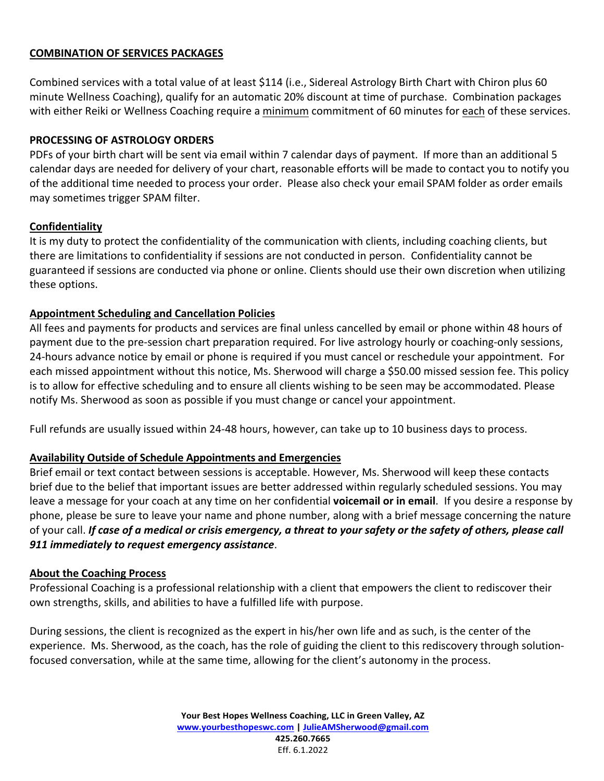### **COMBINATION OF SERVICES PACKAGES**

Combined services with a total value of at least \$114 (i.e., Sidereal Astrology Birth Chart with Chiron plus 60 minute Wellness Coaching), qualify for an automatic 20% discount at time of purchase. Combination packages with either Reiki or Wellness Coaching require a minimum commitment of 60 minutes for each of these services.

### **PROCESSING OF ASTROLOGY ORDERS**

PDFs of your birth chart will be sent via email within 7 calendar days of payment. If more than an additional 5 calendar days are needed for delivery of your chart, reasonable efforts will be made to contact you to notify you of the additional time needed to process your order. Please also check your email SPAM folder as order emails may sometimes trigger SPAM filter.

### **Confidentiality**

It is my duty to protect the confidentiality of the communication with clients, including coaching clients, but there are limitations to confidentiality if sessions are not conducted in person. Confidentiality cannot be guaranteed if sessions are conducted via phone or online. Clients should use their own discretion when utilizing these options.

### **Appointment Scheduling and Cancellation Policies**

All fees and payments for products and services are final unless cancelled by email or phone within 48 hours of payment due to the pre-session chart preparation required. For live astrology hourly or coaching-only sessions, 24‐hours advance notice by email or phone is required if you must cancel or reschedule your appointment. For each missed appointment without this notice, Ms. Sherwood will charge a \$50.00 missed session fee. This policy is to allow for effective scheduling and to ensure all clients wishing to be seen may be accommodated. Please notify Ms. Sherwood as soon as possible if you must change or cancel your appointment.

Full refunds are usually issued within 24‐48 hours, however, can take up to 10 business days to process.

### **Availability Outside of Schedule Appointments and Emergencies**

Brief email or text contact between sessions is acceptable. However, Ms. Sherwood will keep these contacts brief due to the belief that important issues are better addressed within regularly scheduled sessions. You may leave a message for your coach at any time on her confidential **voicemail or in email**. If you desire a response by phone, please be sure to leave your name and phone number, along with a brief message concerning the nature of your call. If case of a medical or crisis emergency, a threat to your safety or the safety of others, please call *911 immediately to request emergency assistance*.

#### **About the Coaching Process**

Professional Coaching is a professional relationship with a client that empowers the client to rediscover their own strengths, skills, and abilities to have a fulfilled life with purpose.

During sessions, the client is recognized as the expert in his/her own life and as such, is the center of the experience. Ms. Sherwood, as the coach, has the role of guiding the client to this rediscovery through solutionfocused conversation, while at the same time, allowing for the client's autonomy in the process.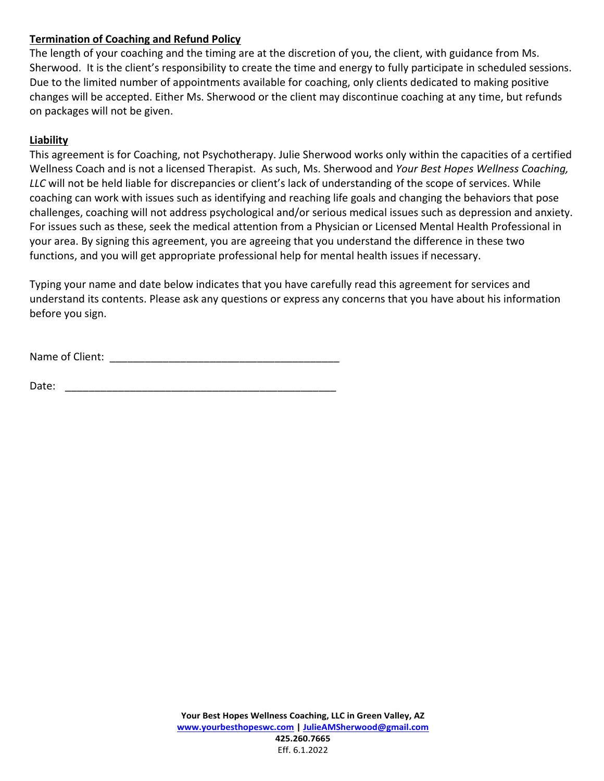### **Termination of Coaching and Refund Policy**

The length of your coaching and the timing are at the discretion of you, the client, with guidance from Ms. Sherwood. It is the client's responsibility to create the time and energy to fully participate in scheduled sessions. Due to the limited number of appointments available for coaching, only clients dedicated to making positive changes will be accepted. Either Ms. Sherwood or the client may discontinue coaching at any time, but refunds on packages will not be given.

### **Liability**

This agreement is for Coaching, not Psychotherapy. Julie Sherwood works only within the capacities of a certified Wellness Coach and is not a licensed Therapist. As such, Ms. Sherwood and *Your Best Hopes Wellness Coaching, LLC* will not be held liable for discrepancies or client's lack of understanding of the scope of services. While coaching can work with issues such as identifying and reaching life goals and changing the behaviors that pose challenges, coaching will not address psychological and/or serious medical issues such as depression and anxiety. For issues such as these, seek the medical attention from a Physician or Licensed Mental Health Professional in your area. By signing this agreement, you are agreeing that you understand the difference in these two functions, and you will get appropriate professional help for mental health issues if necessary.

Typing your name and date below indicates that you have carefully read this agreement for services and understand its contents. Please ask any questions or express any concerns that you have about his information before you sign.

Name of Client: \_\_\_\_\_\_\_\_\_\_\_\_\_\_\_\_\_\_\_\_\_\_\_\_\_\_\_\_\_\_\_\_\_\_\_\_\_\_\_

Date: \_\_\_\_\_\_\_\_\_\_\_\_\_\_\_\_\_\_\_\_\_\_\_\_\_\_\_\_\_\_\_\_\_\_\_\_\_\_\_\_\_\_\_\_\_\_